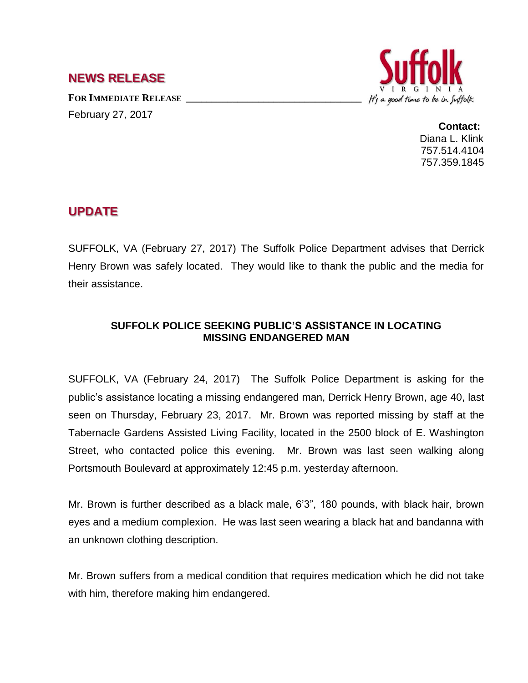## **NEWS RELEASE**

**FOR IMMEDIATE RELEASE \_\_\_\_\_\_\_\_\_\_\_\_\_\_\_\_\_\_\_\_\_\_\_\_\_\_\_\_\_\_\_\_\_\_** February 27, 2017



**Contact:** Diana L. Klink 757.514.4104 757.359.1845

## **UPDATE**

SUFFOLK, VA (February 27, 2017) The Suffolk Police Department advises that Derrick Henry Brown was safely located. They would like to thank the public and the media for their assistance.

## **SUFFOLK POLICE SEEKING PUBLIC'S ASSISTANCE IN LOCATING MISSING ENDANGERED MAN**

SUFFOLK, VA (February 24, 2017) The Suffolk Police Department is asking for the public's assistance locating a missing endangered man, Derrick Henry Brown, age 40, last seen on Thursday, February 23, 2017. Mr. Brown was reported missing by staff at the Tabernacle Gardens Assisted Living Facility, located in the 2500 block of E. Washington Street, who contacted police this evening. Mr. Brown was last seen walking along Portsmouth Boulevard at approximately 12:45 p.m. yesterday afternoon.

Mr. Brown is further described as a black male, 6'3", 180 pounds, with black hair, brown eyes and a medium complexion. He was last seen wearing a black hat and bandanna with an unknown clothing description.

Mr. Brown suffers from a medical condition that requires medication which he did not take with him, therefore making him endangered.